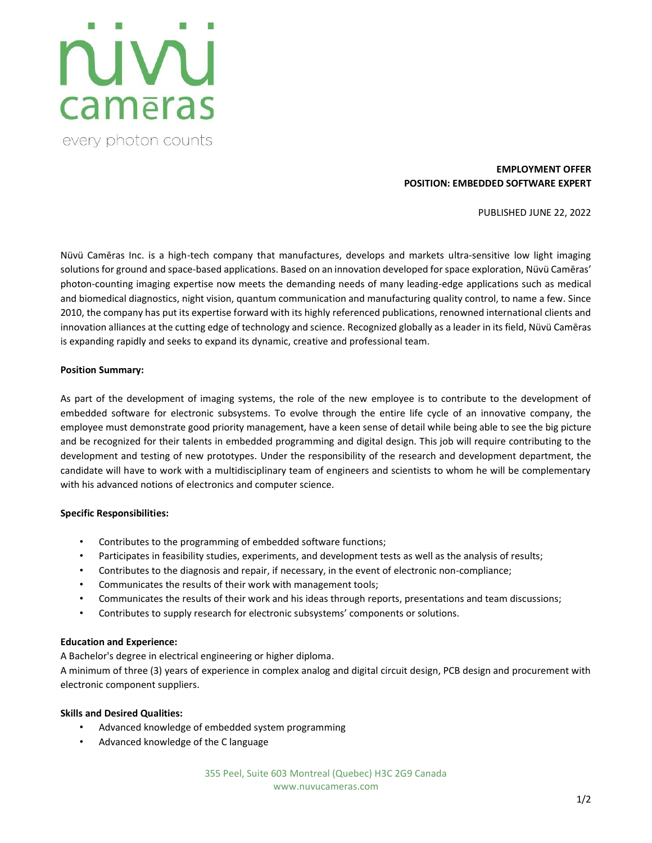## ruvu cameras every photon counts

#### **EMPLOYMENT OFFER POSITION: EMBEDDED SOFTWARE EXPERT**

PUBLISHED JUNE 22, 2022

Nüvü Camēras Inc. is a high-tech company that manufactures, develops and markets ultra-sensitive low light imaging solutions for ground and space-based applications. Based on an innovation developed for space exploration, Nüvü Camēras' photon-counting imaging expertise now meets the demanding needs of many leading-edge applications such as medical and biomedical diagnostics, night vision, quantum communication and manufacturing quality control, to name a few. Since 2010, the company has put its expertise forward with its highly referenced publications, renowned international clients and innovation alliances at the cutting edge of technology and science. Recognized globally as a leader in its field, Nüvü Camēras is expanding rapidly and seeks to expand its dynamic, creative and professional team.

#### **Position Summary:**

As part of the development of imaging systems, the role of the new employee is to contribute to the development of embedded software for electronic subsystems. To evolve through the entire life cycle of an innovative company, the employee must demonstrate good priority management, have a keen sense of detail while being able to see the big picture and be recognized for their talents in embedded programming and digital design. This job will require contributing to the development and testing of new prototypes. Under the responsibility of the research and development department, the candidate will have to work with a multidisciplinary team of engineers and scientists to whom he will be complementary with his advanced notions of electronics and computer science.

#### **Specific Responsibilities:**

- Contributes to the programming of embedded software functions;
- Participates in feasibility studies, experiments, and development tests as well as the analysis of results;
- Contributes to the diagnosis and repair, if necessary, in the event of electronic non-compliance;
- Communicates the results of their work with management tools;
- Communicates the results of their work and his ideas through reports, presentations and team discussions;
- Contributes to supply research for electronic subsystems' components or solutions.

#### **Education and Experience:**

A Bachelor's degree in electrical engineering or higher diploma.

A minimum of three (3) years of experience in complex analog and digital circuit design, PCB design and procurement with electronic component suppliers.

#### **Skills and Desired Qualities:**

- Advanced knowledge of embedded system programming
- Advanced knowledge of the C language